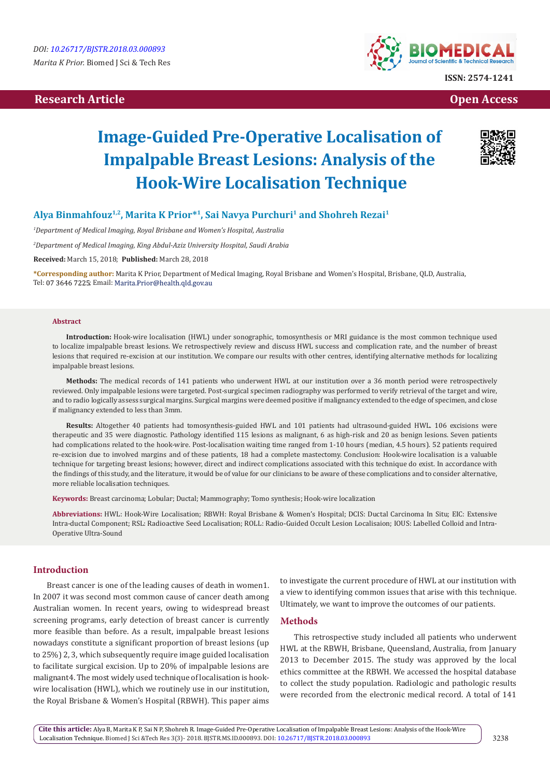## **Research Article Open Access Contract Article Open Access Open Access Open Access**



# **Image-Guided Pre-Operative Localisation of Impalpable Breast Lesions: Analysis of the Hook-Wire Localisation Technique**



## **Alya Binmahfouz1,2, Marita K Prior\*1, Sai Navya Purchuri1 and Shohreh Rezai1**

*1 Department of Medical Imaging, Royal Brisbane and Women's Hospital, Australia*

*2 Department of Medical Imaging, King Abdul-Aziz University Hospital, Saudi Arabia*

**Received:** March 15, 2018; **Published:** March 28, 2018

**\*Corresponding author:** Marita K Prior, Department of Medical Imaging, Royal Brisbane and Women's Hospital, Brisbane, QLD, Australia, Tel: 07 3646 7225; Email: Marita.Prior@health.qld.gov.au

#### **Abstract**

**Introduction:** Hook-wire localisation (HWL) under sonographic, tomosynthesis or MRI guidance is the most common technique used to localize impalpable breast lesions. We retrospectively review and discuss HWL success and complication rate, and the number of breast lesions that required re-excision at our institution. We compare our results with other centres, identifying alternative methods for localizing impalpable breast lesions.

**Methods:** The medical records of 141 patients who underwent HWL at our institution over a 36 month period were retrospectively reviewed. Only impalpable lesions were targeted. Post-surgical specimen radiography was performed to verify retrieval of the target and wire, and to radio logically assess surgical margins. Surgical margins were deemed positive if malignancy extended to the edge of specimen, and close if malignancy extended to less than 3mm.

**Results:** Altogether 40 patients had tomosynthesis-guided HWL and 101 patients had ultrasound-guided HWL. 106 excisions were therapeutic and 35 were diagnostic. Pathology identified 115 lesions as malignant, 6 as high-risk and 20 as benign lesions. Seven patients had complications related to the hook-wire. Post-localisation waiting time ranged from 1-10 hours (median, 4.5 hours). 52 patients required re-excision due to involved margins and of these patients, 18 had a complete mastectomy. Conclusion: Hook-wire localisation is a valuable technique for targeting breast lesions; however, direct and indirect complications associated with this technique do exist. In accordance with the findings of this study, and the literature, it would be of value for our clinicians to be aware of these complications and to consider alternative, more reliable localisation techniques.

**Keywords:** Breast carcinoma; Lobular; Ductal; Mammography; Tomo synthesis; Hook-wire localization

**Abbreviations:** HWL: Hook-Wire Localisation; RBWH: Royal Brisbane & Women's Hospital; DCIS: Ductal Carcinoma In Situ; EIC: Extensive Intra-ductal Component; RSL: Radioactive Seed Localisation; ROLL: Radio-Guided Occult Lesion Localisaion; IOUS: Labelled Colloid and Intra-Operative Ultra-Sound

## **Introduction**

Breast cancer is one of the leading causes of death in women1. In 2007 it was second most common cause of cancer death among Australian women. In recent years, owing to widespread breast screening programs, early detection of breast cancer is currently more feasible than before. As a result, impalpable breast lesions nowadays constitute a significant proportion of breast lesions (up to 25%) 2, 3, which subsequently require image guided localisation to facilitate surgical excision. Up to 20% of impalpable lesions are malignant4. The most widely used technique of localisation is hookwire localisation (HWL), which we routinely use in our institution, the Royal Brisbane & Women's Hospital (RBWH). This paper aims

to investigate the current procedure of HWL at our institution with a view to identifying common issues that arise with this technique. Ultimately, we want to improve the outcomes of our patients.

## **Methods**

This retrospective study included all patients who underwent HWL at the RBWH, Brisbane, Queensland, Australia, from January 2013 to December 2015. The study was approved by the local ethics committee at the RBWH. We accessed the hospital database to collect the study population. Radiologic and pathologic results were recorded from the electronic medical record. A total of 141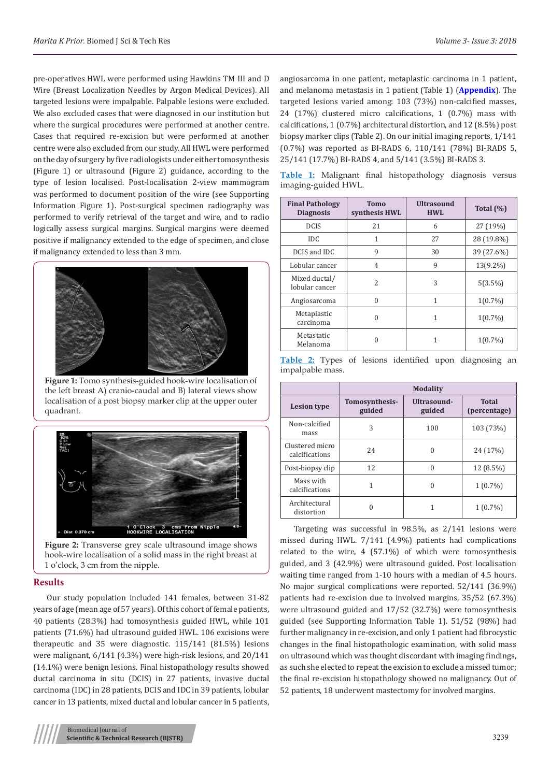pre-operatives HWL were performed using Hawkins TM III and D Wire (Breast Localization Needles by Argon Medical Devices). All targeted lesions were impalpable. Palpable lesions were excluded. We also excluded cases that were diagnosed in our institution but where the surgical procedures were performed at another centre. Cases that required re-excision but were performed at another centre were also excluded from our study. All HWL were performed on the day of surgery by five radiologists under either tomosynthesis (Figure 1) or ultrasound (Figure 2) guidance, according to the type of lesion localised. Post-localisation 2-view mammogram was performed to document position of the wire (see Supporting Information Figure 1). Post-surgical specimen radiography was performed to verify retrieval of the target and wire, and to radio logically assess surgical margins. Surgical margins were deemed positive if malignancy extended to the edge of specimen, and close if malignancy extended to less than 3 mm.



**Figure 1:** Tomo synthesis-guided hook-wire localisation of the left breast A) cranio-caudal and B) lateral views show localisation of a post biopsy marker clip at the upper outer quadrant.



**Figure 2:** Transverse grey scale ultrasound image shows hook-wire localisation of a solid mass in the right breast at 1 o'clock, 3 cm from the nipple.

## **Results**

Our study population included 141 females, between 31-82 years of age (mean age of 57 years). Of this cohort of female patients, 40 patients (28.3%) had tomosynthesis guided HWL, while 101 patients (71.6%) had ultrasound guided HWL. 106 excisions were therapeutic and 35 were diagnostic. 115/141 (81.5%) lesions were malignant, 6/141 (4.3%) were high-risk lesions, and 20/141 (14.1%) were benign lesions. Final histopathology results showed ductal carcinoma in situ (DCIS) in 27 patients, invasive ductal carcinoma (IDC) in 28 patients, DCIS and IDC in 39 patients, lobular cancer in 13 patients, mixed ductal and lobular cancer in 5 patients,

angiosarcoma in one patient, metaplastic carcinoma in 1 patient, and melanoma metastasis in 1 patient (Table 1) (**[Appendix](https://biomedres.us/pdfs/BJSTR.MS.ID.000893.Appendix.pdf)**). The targeted lesions varied among: 103 (73%) non-calcified masses, 24 (17%) clustered micro calcifications, 1 (0.7%) mass with calcifications, 1 (0.7%) architectural distortion, and 12 (8.5%) post biopsy marker clips (Table 2). On our initial imaging reports, 1/141 (0.7%) was reported as BI-RADS 6, 110/141 (78%) BI-RADS 5, 25/141 (17.7%) BI-RADS 4, and 5/141 (3.5%) BI-RADS 3.

**Table 1:** Malignant final histopathology diagnosis versus imaging-guided HWL.

| <b>Final Pathology</b><br><b>Diagnosis</b> | <b>Tomo</b><br>synthesis HWL | <b>Ultrasound</b><br><b>HWL</b> | Total $(\%)$ |
|--------------------------------------------|------------------------------|---------------------------------|--------------|
| <b>DCIS</b>                                | 21                           | 6                               | 27 (19%)     |
| <b>IDC</b>                                 | 1                            | 27                              | 28 (19.8%)   |
| DCIS and IDC                               | 9                            | 30                              | 39 (27.6%)   |
| Lobular cancer                             | 4                            | 9                               | 13(9.2%)     |
| Mixed ductal/<br>lobular cancer            | 2                            | 3                               | 5(3.5%)      |
| Angiosarcoma                               | $\theta$                     | 1                               | $1(0.7\%)$   |
| Metaplastic<br>carcinoma                   | 0                            | 1                               | $1(0.7\%)$   |
| Metastatic<br>Melanoma                     | 0                            | 1                               | $1(0.7\%)$   |

|                  |  |  |  | Table 2: Types of lesions identified upon diagnosing an |  |
|------------------|--|--|--|---------------------------------------------------------|--|
| impalpable mass. |  |  |  |                                                         |  |

|                                   | <b>Modality</b>          |                       |                              |
|-----------------------------------|--------------------------|-----------------------|------------------------------|
| <b>Lesion type</b>                | Tomosynthesis-<br>guided | Ultrasound-<br>guided | <b>Total</b><br>(percentage) |
| Non-calcified<br>mass             | 3                        | 100                   | 103 (73%)                    |
| Clustered micro<br>calcifications | 2.4                      | 0                     | 24 (17%)                     |
| Post-biopsy clip                  | 12                       | 0                     | 12 (8.5%)                    |
| Mass with<br>calcifications       | 1                        | 0                     | $1(0.7\%)$                   |
| Architectural<br>distortion       |                          |                       | $1(0.7\%)$                   |

Targeting was successful in 98.5%, as 2/141 lesions were missed during HWL. 7/141 (4.9%) patients had complications related to the wire, 4 (57.1%) of which were tomosynthesis guided, and 3 (42.9%) were ultrasound guided. Post localisation waiting time ranged from 1-10 hours with a median of 4.5 hours. No major surgical complications were reported. 52/141 (36.9%) patients had re-excision due to involved margins, 35/52 (67.3%) were ultrasound guided and 17/52 (32.7%) were tomosynthesis guided (see Supporting Information Table 1). 51/52 (98%) had further malignancy in re-excision, and only 1 patient had fibrocystic changes in the final histopathologic examination, with solid mass on ultrasound which was thought discordant with imaging findings, as such she elected to repeat the excision to exclude a missed tumor; the final re-excision histopathology showed no malignancy. Out of 52 patients, 18 underwent mastectomy for involved margins.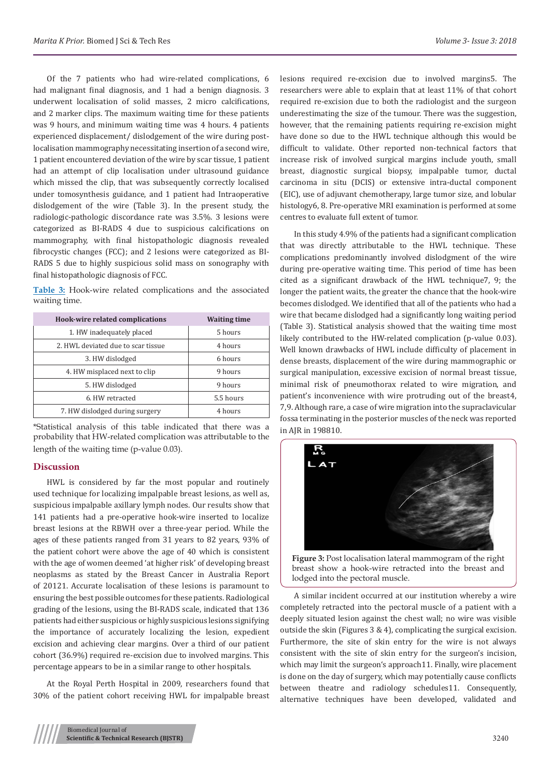Of the 7 patients who had wire-related complications, 6 had malignant final diagnosis, and 1 had a benign diagnosis. 3 underwent localisation of solid masses, 2 micro calcifications, and 2 marker clips. The maximum waiting time for these patients was 9 hours, and minimum waiting time was 4 hours. 4 patients experienced displacement/ dislodgement of the wire during postlocalisation mammography necessitating insertion of a second wire, 1 patient encountered deviation of the wire by scar tissue, 1 patient had an attempt of clip localisation under ultrasound guidance which missed the clip, that was subsequently correctly localised under tomosynthesis guidance, and 1 patient had Intraoperative dislodgement of the wire (Table 3). In the present study, the radiologic-pathologic discordance rate was 3.5%. 3 lesions were categorized as BI-RADS 4 due to suspicious calcifications on mammography, with final histopathologic diagnosis revealed fibrocystic changes (FCC); and 2 lesions were categorized as BI-RADS 5 due to highly suspicious solid mass on sonography with final histopathologic diagnosis of FCC.

**Table 3:** Hook-wire related complications and the associated waiting time.

| Hook-wire related complications    | <b>Waiting time</b> |
|------------------------------------|---------------------|
| 1. HW inadequately placed          | 5 hours             |
| 2. HWL deviated due to scar tissue | 4 hours             |
| 3. HW dislodged                    | 6 hours             |
| 4. HW misplaced next to clip       | 9 hours             |
| 5. HW dislodged                    | 9 hours             |
| 6. HW retracted                    | 5.5 hours           |
| 7. HW dislodged during surgery     | 4 hours             |

\*Statistical analysis of this table indicated that there was a probability that HW-related complication was attributable to the length of the waiting time (p-value 0.03).

#### **Discussion**

HWL is considered by far the most popular and routinely used technique for localizing impalpable breast lesions, as well as, suspicious impalpable axillary lymph nodes. Our results show that 141 patients had a pre-operative hook-wire inserted to localize breast lesions at the RBWH over a three-year period. While the ages of these patients ranged from 31 years to 82 years, 93% of the patient cohort were above the age of 40 which is consistent with the age of women deemed 'at higher risk' of developing breast neoplasms as stated by the Breast Cancer in Australia Report of 20121. Accurate localisation of these lesions is paramount to ensuring the best possible outcomes for these patients. Radiological grading of the lesions, using the BI-RADS scale, indicated that 136 patients had either suspicious or highly suspicious lesions signifying the importance of accurately localizing the lesion, expedient excision and achieving clear margins. Over a third of our patient cohort (36.9%) required re-excision due to involved margins. This percentage appears to be in a similar range to other hospitals.

At the Royal Perth Hospital in 2009, researchers found that 30% of the patient cohort receiving HWL for impalpable breast lesions required re-excision due to involved margins5. The researchers were able to explain that at least 11% of that cohort required re-excision due to both the radiologist and the surgeon underestimating the size of the tumour. There was the suggestion, however, that the remaining patients requiring re-excision might have done so due to the HWL technique although this would be difficult to validate. Other reported non-technical factors that increase risk of involved surgical margins include youth, small breast, diagnostic surgical biopsy, impalpable tumor, ductal carcinoma in situ (DCIS) or extensive intra-ductal component (EIC), use of adjuvant chemotherapy, large tumor size, and lobular histology6, 8. Pre-operative MRI examination is performed at some centres to evaluate full extent of tumor.

In this study 4.9% of the patients had a significant complication that was directly attributable to the HWL technique. These complications predominantly involved dislodgment of the wire during pre-operative waiting time. This period of time has been cited as a significant drawback of the HWL technique7, 9; the longer the patient waits, the greater the chance that the hook-wire becomes dislodged. We identified that all of the patients who had a wire that became dislodged had a significantly long waiting period (Table 3). Statistical analysis showed that the waiting time most likely contributed to the HW-related complication (p-value 0.03). Well known drawbacks of HWL include difficulty of placement in dense breasts, displacement of the wire during mammographic or surgical manipulation, excessive excision of normal breast tissue, minimal risk of pneumothorax related to wire migration, and patient's inconvenience with wire protruding out of the breast4, 7,9. Although rare, a case of wire migration into the supraclavicular fossa terminating in the posterior muscles of the neck was reported in AJR in 198810.



**Figure 3:** Post localisation lateral mammogram of the right breast show a hook-wire retracted into the breast and lodged into the pectoral muscle.

A similar incident occurred at our institution whereby a wire completely retracted into the pectoral muscle of a patient with a deeply situated lesion against the chest wall; no wire was visible outside the skin (Figures 3 & 4), complicating the surgical excision. Furthermore, the site of skin entry for the wire is not always consistent with the site of skin entry for the surgeon's incision, which may limit the surgeon's approach11. Finally, wire placement is done on the day of surgery, which may potentially cause conflicts between theatre and radiology schedules11. Consequently, alternative techniques have been developed, validated and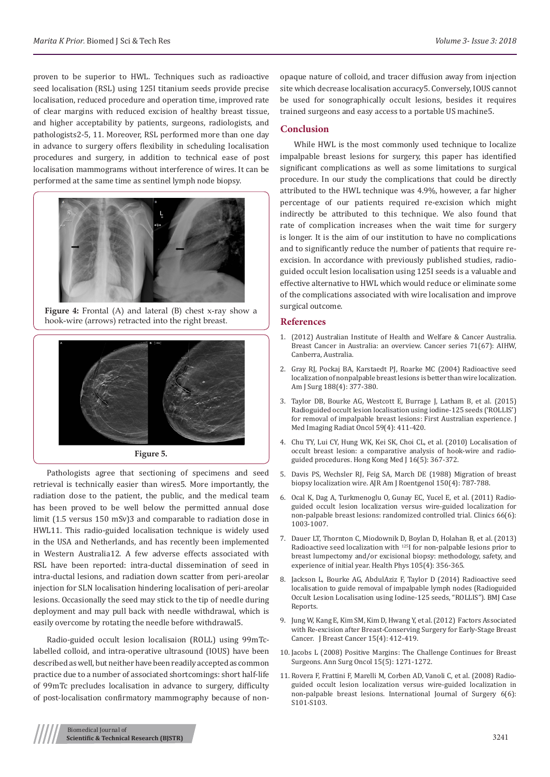proven to be superior to HWL. Techniques such as radioactive seed localisation (RSL) using 125I titanium seeds provide precise localisation, reduced procedure and operation time, improved rate of clear margins with reduced excision of healthy breast tissue, and higher acceptability by patients, surgeons, radiologists, and pathologists2-5, 11. Moreover, RSL performed more than one day in advance to surgery offers flexibility in scheduling localisation procedures and surgery, in addition to technical ease of post localisation mammograms without interference of wires. It can be performed at the same time as sentinel lymph node biopsy.



**Figure 4:** Frontal (A) and lateral (B) chest x-ray show a hook-wire (arrows) retracted into the right breast.



Pathologists agree that sectioning of specimens and seed retrieval is technically easier than wires5. More importantly, the radiation dose to the patient, the public, and the medical team has been proved to be well below the permitted annual dose limit (1.5 versus 150 mSv)3 and comparable to radiation dose in HWL11. This radio-guided localisation technique is widely used in the USA and Netherlands, and has recently been implemented in Western Australia12. A few adverse effects associated with RSL have been reported: intra-ductal dissemination of seed in intra-ductal lesions, and radiation down scatter from peri-areolar injection for SLN localisation hindering localisation of peri-areolar lesions. Occasionally the seed may stick to the tip of needle during deployment and may pull back with needle withdrawal, which is easily overcome by rotating the needle before withdrawal5.

Radio-guided occult lesion localisaion (ROLL) using 99mTclabelled colloid, and intra-operative ultrasound (IOUS) have been described as well, but neither have been readily accepted as common practice due to a number of associated shortcomings: short half-life of 99mTc precludes localisation in advance to surgery, difficulty of post-localisation confirmatory mammography because of nonopaque nature of colloid, and tracer diffusion away from injection site which decrease localisation accuracy5. Conversely, IOUS cannot be used for sonographically occult lesions, besides it requires trained surgeons and easy access to a portable US machine5.

## **Conclusion**

While HWL is the most commonly used technique to localize impalpable breast lesions for surgery, this paper has identified significant complications as well as some limitations to surgical procedure. In our study the complications that could be directly attributed to the HWL technique was 4.9%, however, a far higher percentage of our patients required re-excision which might indirectly be attributed to this technique. We also found that rate of complication increases when the wait time for surgery is longer. It is the aim of our institution to have no complications and to significantly reduce the number of patients that require reexcision. In accordance with previously published studies, radioguided occult lesion localisation using 125I seeds is a valuable and effective alternative to HWL which would reduce or eliminate some of the complications associated with wire localisation and improve surgical outcome.

#### **References**

- 1. (2012) Australian Institute of Health and Welfare & Cancer Australia. Breast Cancer in Australia: an overview. Cancer series 71(67): AIHW, Canberra, Australia.
- 2. [Gray RJ, Pockaj BA, Karstaedt PJ, Roarke MC \(2004\) Radioactive seed](https://www.ncbi.nlm.nih.gov/pubmed/15474429) [localization of nonpalpable breast lesions is better than wire localization.](https://www.ncbi.nlm.nih.gov/pubmed/15474429) [Am J Surg 188\(4\): 377-380.](https://www.ncbi.nlm.nih.gov/pubmed/15474429)
- 3. [Taylor DB, Bourke AG, Westcott E, Burrage J, Latham B, et al. \(2015\)](https://www.ncbi.nlm.nih.gov/pubmed/25871837) [Radioguided occult lesion localisation using iodine-125 seeds \('ROLLIS'\)](https://www.ncbi.nlm.nih.gov/pubmed/25871837) [for removal of impalpable breast lesions: First Australian experience. J](https://www.ncbi.nlm.nih.gov/pubmed/25871837) [Med Imaging Radiat Oncol 59\(4\): 411-420.](https://www.ncbi.nlm.nih.gov/pubmed/25871837)
- 4. [Chu TY, Lui CY, Hung WK, Kei SK, Choi CL, et al. \(2010\) Localisation of](https://www.ncbi.nlm.nih.gov/pubmed/20890001) [occult breast lesion: a comparative analysis of hook-wire and radio](https://www.ncbi.nlm.nih.gov/pubmed/20890001)[guided procedures. Hong Kong Med J 16\(5\): 367-372.](https://www.ncbi.nlm.nih.gov/pubmed/20890001)
- 5. [Davis PS, Wechsler RJ, Feig SA, March DE \(1988\) Migration of breast](https://www.ncbi.nlm.nih.gov/pubmed/3279733) [biopsy localization wire. AJR Am J Roentgenol 150\(4\): 787-788.](https://www.ncbi.nlm.nih.gov/pubmed/3279733)
- 6. [Ocal K, Dag A, Turkmenoglu O, Gunay EC, Yucel E, et al. \(2011\) Radio](https://www.ncbi.nlm.nih.gov/pubmed/21808866/)[guided occult lesion localization versus wire-guided localization for](https://www.ncbi.nlm.nih.gov/pubmed/21808866/) [non-palpable breast lesions: randomized controlled trial. Clinics 66\(6\):](https://www.ncbi.nlm.nih.gov/pubmed/21808866/) [1003-1007.](https://www.ncbi.nlm.nih.gov/pubmed/21808866/)
- 7. [Dauer LT, Thornton C, Miodownik D, Boylan D, Holahan B, et al. \(2013\)](https://www.ncbi.nlm.nih.gov/pubmed/23982612) Radioactive seed localization with [125I for non-palpable lesions prior to](https://www.ncbi.nlm.nih.gov/pubmed/23982612) [breast lumpectomy and/or excisional biopsy: methodology, safety, and](https://www.ncbi.nlm.nih.gov/pubmed/23982612) [experience of initial year. Health Phys 105\(4\): 356-365.](https://www.ncbi.nlm.nih.gov/pubmed/23982612)
- 8. [Jackson L, Bourke AG, AbdulAziz F, Taylor D \(2014\) Radioactive seed](http://casereports.bmj.com/content/2014/bcr-2013-203267.abstract) [localisation to guide removal of impalpable lymph nodes \(Radioguided](http://casereports.bmj.com/content/2014/bcr-2013-203267.abstract) [Occult Lesion Localisation using Iodine-125 seeds, "ROLLIS"\). BMJ Case](http://casereports.bmj.com/content/2014/bcr-2013-203267.abstract) [Reports.](http://casereports.bmj.com/content/2014/bcr-2013-203267.abstract)
- 9. [Jung W, Kang E, Kim SM, Kim D, Hwang Y, et al. \(2012\) Factors Associated](https://www.ncbi.nlm.nih.gov/pubmed/23346170/) [with Re-excision after Breast-Conserving Surgery for Early-Stage Breast](https://www.ncbi.nlm.nih.gov/pubmed/23346170/) [Cancer. J Breast Cancer 15\(4\): 412-419.](https://www.ncbi.nlm.nih.gov/pubmed/23346170/)
- 10. [Jacobs L \(2008\) Positive Margins: The Challenge Continues for Breast](https://www.ncbi.nlm.nih.gov/pubmed/18320287/) [Surgeons. Ann Surg Oncol 15\(5\): 1271-1272.](https://www.ncbi.nlm.nih.gov/pubmed/18320287/)
- 11. [Rovera F, Frattini F, Marelli M, Corben AD, Vanoli C, et al. \(2008\) Radio](https://www.ncbi.nlm.nih.gov/pubmed/21808866/)[guided occult lesion localization versus wire-guided localization in](https://www.ncbi.nlm.nih.gov/pubmed/21808866/) [non-palpable breast lesions. International Journal of Surgery 6\(6\):](https://www.ncbi.nlm.nih.gov/pubmed/21808866/) S<sub>101</sub>-S<sub>103</sub>.